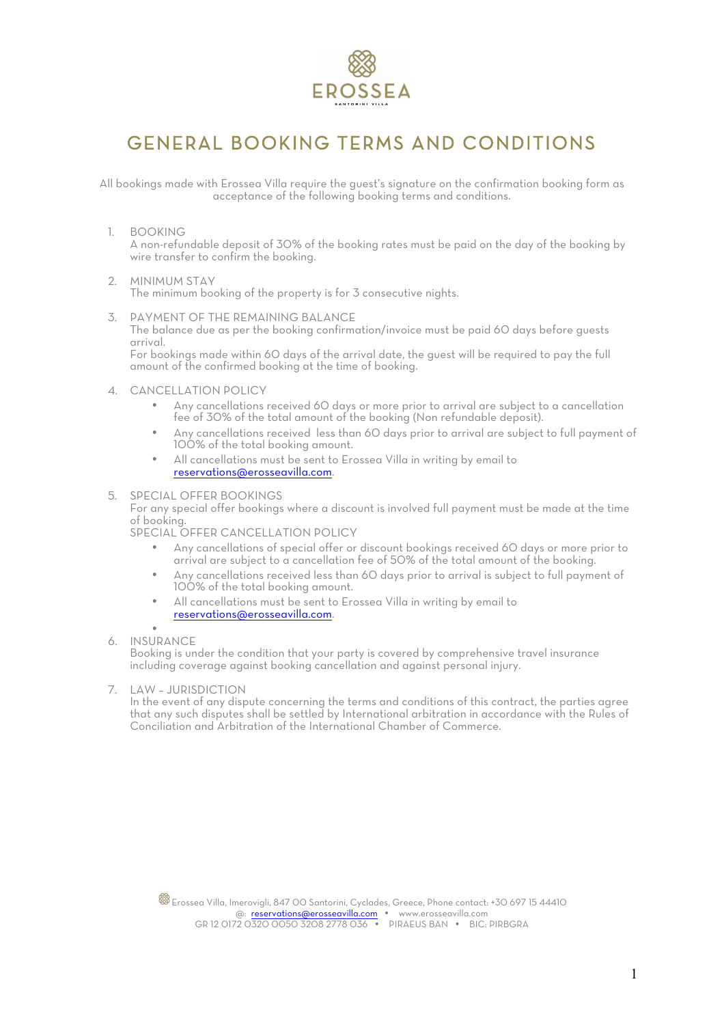

# GENERAL BOOKING TERMS AND CONDITIONS

All bookings made with Erossea Villa require the guest's signature on the confirmation booking form as acceptance of the following booking terms and conditions.

1. BOOKING

A non-refundable deposit of 30% of the booking rates must be paid on the day of the booking by wire transfer to confirm the booking.

- 2. MINIMUM STAY The minimum booking of the property is for 3 consecutive nights.
- 3. PAYMENT OF THE REMAINING BALANCE

The balance due as per the booking confirmation/invoice must be paid 60 days before guests arrival.

For bookings made within 60 days of the arrival date, the guest will be required to pay the full amount of the confirmed booking at the time of booking.

- 4. CANCELLATION POLICY
	- Any cancellations received 60 days or more prior to arrival are subject to a cancellation fee of 30% of the total amount of the booking (Non refundable deposit).
	- Any cancellations received less than 60 days prior to arrival are subject to full payment of 100% of the total booking amount.
	- All cancellations must be sent to Erossea Villa in writing by email to reservations@erosseavilla.com.
- 5. SPECIAL OFFER BOOKINGS

For any special offer bookings where a discount is involved full payment must be made at the time of booking.

SPECIAL OFFER CANCELLATION POLICY

- Any cancellations of special offer or discount bookings received 60 days or more prior to arrival are subject to a cancellation fee of 50% of the total amount of the booking.
- Any cancellations received less than 60 days prior to arrival is subject to full payment of 100% of the total booking amount.
- All cancellations must be sent to Erossea Villa in writing by email to reservations@erosseavilla.com.
- •
- 6. INSURANCE

Booking is under the condition that your party is covered by comprehensive travel insurance including coverage against booking cancellation and against personal injury.

7. LAW – JURISDICTION

In the event of any dispute concerning the terms and conditions of this contract, the parties agree that any such disputes shall be settled by International arbitration in accordance with the Rules of Conciliation and Arbitration of the International Chamber of Commerce.

Erossea Villa, Imerovigli, 847 00 Santorini, Cyclades, Greece, Phone contact: +30 697 15 44410 @: reservations@erosseavilla.com . www.erosseavilla.com GR 12 0172 0320 0050 3208 2778 036 · PIRAEUS BAN · BIC: PIRBGRA